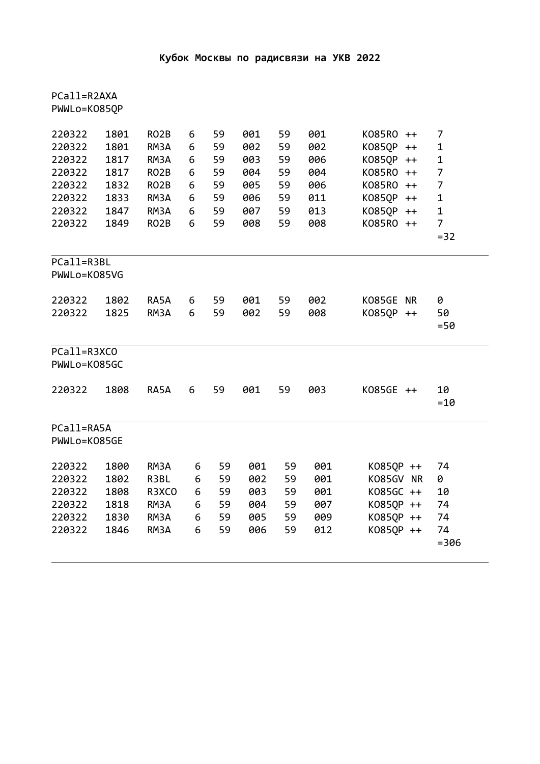| PCall=R2AXA<br>PWWLo=K085QP                                                  |                                                              |                                                                                                                  |                                      |                                              |                                                      |                                              |                                                      |                                                                                                           |                                                                                                        |  |
|------------------------------------------------------------------------------|--------------------------------------------------------------|------------------------------------------------------------------------------------------------------------------|--------------------------------------|----------------------------------------------|------------------------------------------------------|----------------------------------------------|------------------------------------------------------|-----------------------------------------------------------------------------------------------------------|--------------------------------------------------------------------------------------------------------|--|
| 220322<br>220322<br>220322<br>220322<br>220322<br>220322<br>220322<br>220322 | 1801<br>1801<br>1817<br>1817<br>1832<br>1833<br>1847<br>1849 | RO <sub>2</sub> B<br>RM3A<br>RM3A<br>RO <sub>2</sub> B<br>RO <sub>2</sub> B<br>RM3A<br>RM3A<br>RO <sub>2</sub> B | 6<br>6<br>6<br>6<br>6<br>6<br>6<br>6 | 59<br>59<br>59<br>59<br>59<br>59<br>59<br>59 | 001<br>002<br>003<br>004<br>005<br>006<br>007<br>008 | 59<br>59<br>59<br>59<br>59<br>59<br>59<br>59 | 001<br>002<br>006<br>004<br>006<br>011<br>013<br>008 | K085R0 ++<br>K085QP<br>$++$<br>K085QP ++<br>K085R0 ++<br>K085R0 ++<br>K085QP ++<br>K085QP ++<br>K085R0 ++ | 7<br>$\mathbf 1$<br>$\mathbf 1$<br>$\overline{7}$<br>7<br>$\mathbf 1$<br>$\mathbf 1$<br>$\overline{7}$ |  |
| $= 32$<br>PCall=R3BL<br>PWWLo=K085VG                                         |                                                              |                                                                                                                  |                                      |                                              |                                                      |                                              |                                                      |                                                                                                           |                                                                                                        |  |
| 220322<br>220322                                                             | 1802<br>1825                                                 | RA5A<br>RM3A                                                                                                     | 6<br>6                               | 59<br>59                                     | 001<br>002                                           | 59<br>59                                     | 002<br>008                                           | KO85GE NR<br>K085QP ++                                                                                    | 0<br>50<br>$= 50$                                                                                      |  |
| PCall=R3XCO<br>PWWLo=K085GC                                                  |                                                              |                                                                                                                  |                                      |                                              |                                                      |                                              |                                                      |                                                                                                           |                                                                                                        |  |
| 220322                                                                       | 1808                                                         | RA5A                                                                                                             | 6                                    | 59                                           | 001                                                  | 59                                           | 003                                                  | K085GE ++                                                                                                 | 10<br>$=10$                                                                                            |  |
| PCall=RA5A<br>PWWLo=K085GE                                                   |                                                              |                                                                                                                  |                                      |                                              |                                                      |                                              |                                                      |                                                                                                           |                                                                                                        |  |
| 220322<br>220322<br>220322<br>220322<br>220322<br>220322                     | 1800<br>1802<br>1808<br>1818<br>1830<br>1846                 | RM3A<br>R3BL<br>R3XCO<br>RM3A<br>RM3A<br>RM3A                                                                    | 6<br>6<br>6<br>6<br>6<br>6           | 59<br>59<br>59<br>59<br>59<br>59             | 001<br>002<br>003<br>004<br>005<br>006               | 59<br>59<br>59<br>59<br>59<br>59             | 001<br>001<br>001<br>007<br>009<br>012               | K085QP ++<br>K085GV NR<br>K085GC ++<br>K085QP ++<br>K085QP ++<br>K085QP ++                                | 74<br>0<br>10<br>74<br>74<br>74<br>$= 306$                                                             |  |